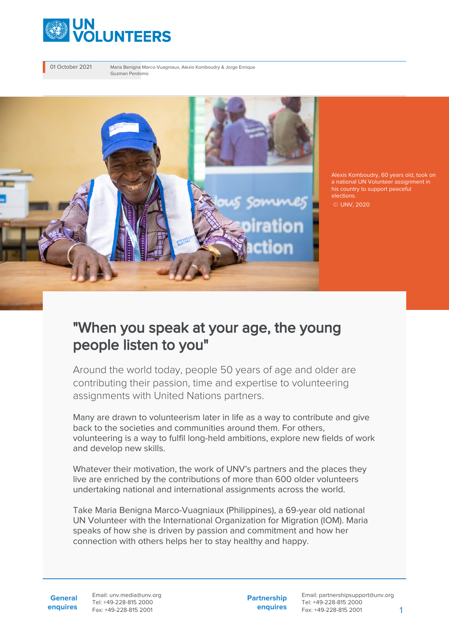

01 October 2021 Maria Benigna Marco-Vuagniaux, Alexis Komboudry & Jorge Enrique Guzman Perdomo



a national UN Volunteer assignment in his country to support peaceful elections.

© UNV, 2020

## "When you speak at your age, the young people listen to you"

Around the world today, people 50 years of age and older are contributing their passion, time and expertise to volunteering assignments with United Nations partners.

Many are drawn to volunteerism later in life as a way to contribute and give back to the societies and communities around them. For others, volunteering is a way to fulfil long-held ambitions, explore new fields of work and develop new skills.

Whatever their motivation, the work of UNV's partners and the places they live are enriched by the contributions of more than 600 older volunteers undertaking national and international assignments across the world.

Take Maria Benigna Marco-Vuagniaux (Philippines), a 69-year old national UN Volunteer with the International Organization for Migration (IOM). Maria speaks of how she is driven by passion and commitment and how her connection with others helps her to stay healthy and happy.

**General enquires** Email: unv.media@unv.org Tel: +49-228-815 2000 Fax: +49-228-815 2001

**Partnership enquires**

Email: partnershipsupport@unv.org Tel: +49-228-815 2000 Fax: +49-228-815 2001 1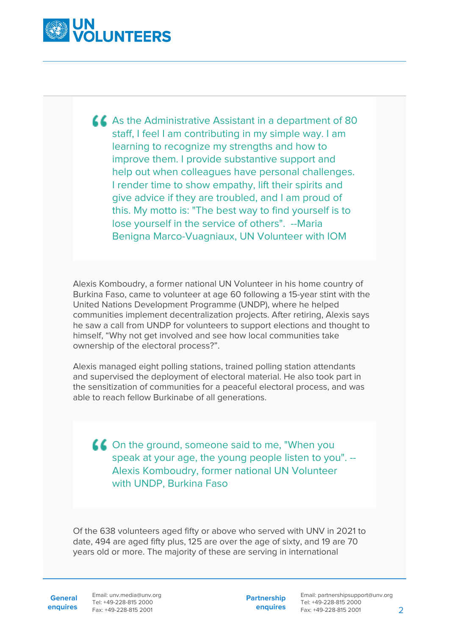

As the Administrative Assistant in a department of 80 staff, I feel I am contributing in my simple way. I am learning to recognize my strengths and how to improve them. I provide substantive support and help out when colleagues have personal challenges. I render time to show empathy, lift their spirits and give advice if they are troubled, and I am proud of this. My motto is: "The best way to find yourself is to lose yourself in the service of others". --Maria Benigna Marco-Vuagniaux, UN Volunteer with IOM

Alexis Komboudry, a former national UN Volunteer in his home country of Burkina Faso, came to volunteer at age 60 following a 15-year stint with the United Nations Development Programme (UNDP), where he helped communities implement decentralization projects. After retiring, Alexis says he saw a call from UNDP for volunteers to support elections and thought to himself, "Why not get involved and see how local communities take ownership of the electoral process?".

Alexis managed eight polling stations, trained polling station attendants and supervised the deployment of electoral material. He also took part in the sensitization of communities for a peaceful electoral process, and was able to reach fellow Burkinabe of all generations.

On the ground, someone said to me, "When you speak at your age, the young people listen to you". -- Alexis Komboudry, former national UN Volunteer with UNDP, Burkina Faso

Of the 638 volunteers aged fifty or above who served with UNV in 2021 to date, 494 are aged fifty plus, 125 are over the age of sixty, and 19 are 70 years old or more. The majority of these are serving in international

General Email: unv.media@unv.org **enquires** Fax: +49-228-815 2001 Tel: +49-228-815 2000

**Partnership enquires**

Email: partnershipsupport@unv.org Tel: +49-228-815 2000 Fax: +49-228-815 2001 2